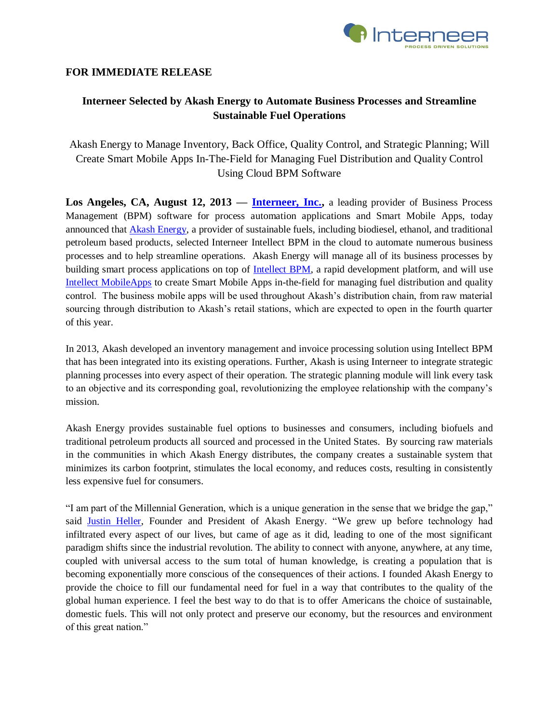

## **FOR IMMEDIATE RELEASE**

# **Interneer Selected by Akash Energy to Automate Business Processes and Streamline Sustainable Fuel Operations**

Akash Energy to Manage Inventory, Back Office, Quality Control, and Strategic Planning; Will Create Smart Mobile Apps In-The-Field for Managing Fuel Distribution and Quality Control Using Cloud BPM Software

**Los Angeles, CA, August 12, 2013 — [Interneer, Inc.,](http://www.interneer.com/)** a leading provider of Business Process Management (BPM) software for process automation applications and Smart Mobile Apps, today announced that [Akash Energy,](http://www.akashenergy.com/) a provider of sustainable fuels, including biodiesel, ethanol, and traditional petroleum based products, selected Interneer Intellect BPM in the cloud to automate numerous business processes and to help streamline operations. Akash Energy will manage all of its business processes by building smart process applications on top of [Intellect BPM,](http://www.interneer.com/hosted-workflow-products-services/intellect-cloud/) a rapid development platform, and will use [Intellect MobileApps](http://www.interneer.com/intellect-mobileapps/) to create Smart Mobile Apps in-the-field for managing fuel distribution and quality control. The business mobile apps will be used throughout Akash's distribution chain, from raw material sourcing through distribution to Akash's retail stations, which are expected to open in the fourth quarter of this year.

In 2013, Akash developed an inventory management and invoice processing solution using Intellect BPM that has been integrated into its existing operations. Further, Akash is using Interneer to integrate strategic planning processes into every aspect of their operation. The strategic planning module will link every task to an objective and its corresponding goal, revolutionizing the employee relationship with the company's mission.

Akash Energy provides sustainable fuel options to businesses and consumers, including biofuels and traditional petroleum products all sourced and processed in the United States. By sourcing raw materials in the communities in which Akash Energy distributes, the company creates a sustainable system that minimizes its carbon footprint, stimulates the local economy, and reduces costs, resulting in consistently less expensive fuel for consumers.

"I am part of the Millennial Generation, which is a unique generation in the sense that we bridge the gap," said [Justin Heller,](http://akashenergy.com/justin-heller-founder-and-president) Founder and President of Akash Energy. "We grew up before technology had infiltrated every aspect of our lives, but came of age as it did, leading to one of the most significant paradigm shifts since the industrial revolution. The ability to connect with anyone, anywhere, at any time, coupled with universal access to the sum total of human knowledge, is creating a population that is becoming exponentially more conscious of the consequences of their actions. I founded Akash Energy to provide the choice to fill our fundamental need for fuel in a way that contributes to the quality of the global human experience. I feel the best way to do that is to offer Americans the choice of sustainable, domestic fuels. This will not only protect and preserve our economy, but the resources and environment of this great nation."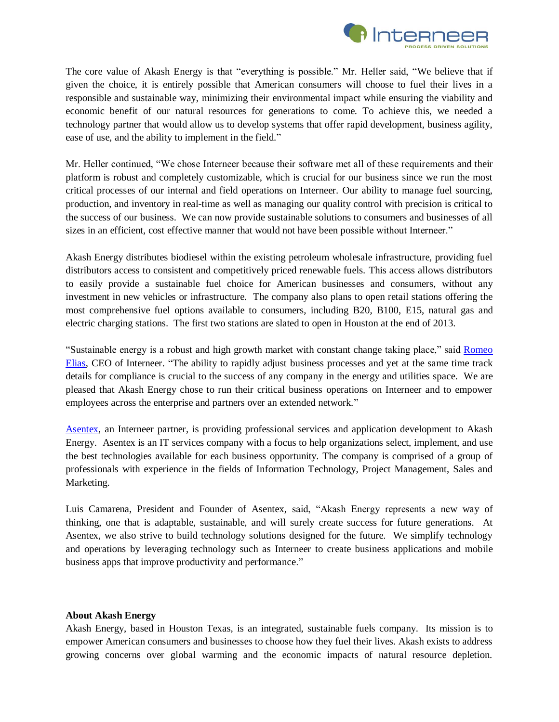

The core value of Akash Energy is that "everything is possible." Mr. Heller said, "We believe that if given the choice, it is entirely possible that American consumers will choose to fuel their lives in a responsible and sustainable way, minimizing their environmental impact while ensuring the viability and economic benefit of our natural resources for generations to come. To achieve this, we needed a technology partner that would allow us to develop systems that offer rapid development, business agility, ease of use, and the ability to implement in the field."

Mr. Heller continued, "We chose Interneer because their software met all of these requirements and their platform is robust and completely customizable, which is crucial for our business since we run the most critical processes of our internal and field operations on Interneer. Our ability to manage fuel sourcing, production, and inventory in real-time as well as managing our quality control with precision is critical to the success of our business. We can now provide sustainable solutions to consumers and businesses of all sizes in an efficient, cost effective manner that would not have been possible without Interneer."

Akash Energy distributes biodiesel within the existing petroleum wholesale infrastructure, providing fuel distributors access to consistent and competitively priced renewable fuels. This access allows distributors to easily provide a sustainable fuel choice for American businesses and consumers, without any investment in new vehicles or infrastructure. The company also plans to open retail stations offering the most comprehensive fuel options available to consumers, including B20, B100, E15, natural gas and electric charging stations. The first two stations are slated to open in Houston at the end of 2013.

"Sustainable energy is a robust and high growth market with constant change taking place," said [Romeo](http://www.interneer.com/workflow-business-process-management-software-about-us/our-team/)  [Elias,](http://www.interneer.com/workflow-business-process-management-software-about-us/our-team/) CEO of Interneer. "The ability to rapidly adjust business processes and yet at the same time track details for compliance is crucial to the success of any company in the energy and utilities space. We are pleased that Akash Energy chose to run their critical business operations on Interneer and to empower employees across the enterprise and partners over an extended network."

[Asentex,](http://www.asentex.com/) an Interneer partner, is providing professional services and application development to Akash Energy. Asentex is an IT services company with a focus to help organizations select, implement, and use the best technologies available for each business opportunity. The company is comprised of a group of professionals with experience in the fields of Information Technology, Project Management, Sales and Marketing.

Luis Camarena, President and Founder of Asentex, said, "Akash Energy represents a new way of thinking, one that is adaptable, sustainable, and will surely create success for future generations. At Asentex, we also strive to build technology solutions designed for the future. We simplify technology and operations by leveraging technology such as Interneer to create business applications and mobile business apps that improve productivity and performance."

### **About Akash Energy**

Akash Energy, based in Houston Texas, is an integrated, sustainable fuels company. Its mission is to empower American consumers and businesses to choose how they fuel their lives. Akash exists to address growing concerns over global warming and the economic impacts of natural resource depletion.